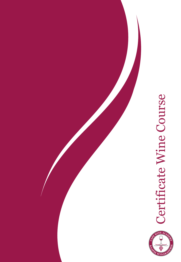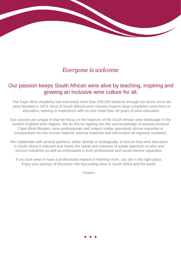## *Everyone is welcome*

## Our passion keeps South African wine alive by teaching, inspiring and growing an inclusive wine culture for all.

The Cape Wine Academy has welcomed more than 200,000 students through our doors since we were founded in 1979. Most of South Africa's wine industry experts have completed some form of education, training or experience with us over more than 40 years of wine education.

Our courses are unique in that we focus on the nuances of the South African wine landscape in the context of global wine regions. We do this by tapping into the vast knowledge of actively involved Cape Wine Masters, wine professionals and subject matter specialists whose expertise is incorporated into the course material, training materials and information all regularly reviewed.

We collaborate with several partners, either directly or strategically, to ensure that wine education in South Africa is relevant and meets the needs and interests of a wide spectrum of wine and tourism industries as well as enthusiasts in both professional and social interest capacities.

If you love wine or have a professional interest in learning more, you are in the right place. Enjoy your journey of discovery into fascinating wine of South Africa and the world.

Cheers.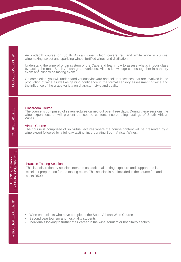COURSE OVERVIEW **COURSE OVERVIEW** 

An in-depth course on South African wine, which covers red and white wine viticulture, winemaking, sweet and sparkling wines, fortified wines and distillation.

Understand the wine of origin system of the Cape and learn how to assess what's in your glass by tasting the main South African grape varieties. All this knowledge comes together in a theory exam and blind wine tasting exam.

On completion, you will understand various vineyard and cellar processes that are involved in the production of wine as well as gaining confidence in the formal sensory assessment of wine and the influence of the grape variety on character, style and quality.

#### Classroom Course

The course is comprised of seven lectures carried out over three days. During these sessions the wine expert lecturer will present the course content, incorporating tastings of South African Wines.

#### Virtual Course

costs R500.

Practice Tasting Session

The course is comprised of six virtual lectures where the course content will be presented by a wine expert followed by a full day tasting, incorporating South African Wines.

This is a discretionary session intended as additional tasting exposure and support and is excellent preparation for the tasting exam. This session is not included in the course fee and

# DISCRECIONARY<br>TRAINING WORKSHOPS TRAINING WORKSHOPS DISCRECIONARY

COURSE DETAILS

**COURSE DETAILS** 

- Wine enthusiasts who have completed the South African Wine Course
- Second year tourism and hospitality students
- Individuals looking to further their career in the wine, tourism or hospitality sectors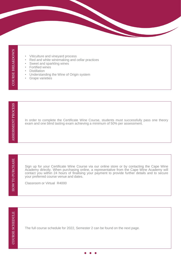- Viticulture and vineyard process
- Red and white winemaking and cellar practices
- Sweet and sparkling wines
- Fortified wines
- **Distillation**
- Understanding the Wine of Origin system
- **Grape varieties**

In order to complete the Certificate Wine Course, students must successfully pass one theory exam and one blind tasting exam achieving a minimum of 50% per assessment.

HOW TO PURCHASE HOW TO PURCHASE

Sign up for your Certificate Wine Course via our online store or by contacting the Cape Wine Academy directly. When purchasing online, a representative from the Cape Wine Academy will contact you within 24 hours of finalising your payment to provide further details and to secure your preferred course venue and dates.

Classroom or Virtual R4000

The full course schedule for 2022, Semester 2 can be found on the next page.